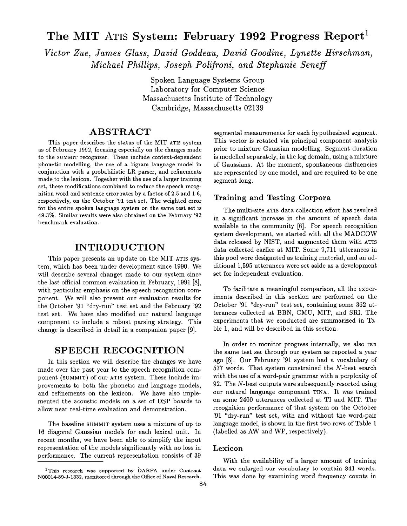# **The MIT ATIS System: February 1992 Progress Report**<sup>1</sup>

*Victor Zue~ James Glass, David Goddeau, David Goodine, Lynette Hirschman, Michael Phillips, Joseph Polifroni, and Stephanie Seneff* 

> Spoken Language Systems Group Laboratory for Computer Science Massachusetts Institute of Technology Cambridge, Massachusetts 02139

# **ABSTRACT**

This paper describes the status of the MIT ATIS system as of February 1992, focusing especially on the changes made to the SUMMIT recognizer. These include context-dependent phonetic modelling, the use of a bigram language model in conjunction with a probabilistic LR parser, and refinements made to the lexicon. Together with the use of a larger training set, these modifications combined to reduce the speech recognition word and sentence error rates by a factor of 2.5 and 1.6, respectively, on the October '91 test set. The weighted error for the entire spoken language system on the same test set is 49.3%. Similar results were also obtained on the February '92 benchmark evaluation.

# **INTRODUCTION**

This paper presents an update on the MIT ATIS system, which has been under development since 1990. We will describe several changes made to our system since the last official common evaluation in February, 1991 [8], with particular emphasis on the speech recognition component.. We will also present our evaluation results for the October '91 "dry-run" test set and the February '92 test set. We have also modified our natural language component to include a robust parsing strategy. This change is described in detail in a companion paper [9].

## **SPEECH RECOGNITION**

In this section we will describe the changes we have made over the past year to the speech recognition component (SUMMIT) of our ATIS system. These include improvements to both the phonetic and language models, and refinements on the lexicon. We have also implemented the acoustic models on a set of DSP boards to allow near real-time evaluation and demonstration.

The baseline SUMMIT system uses a mixture of up to 16 diagonal Gaussian models for each lexical unit. In recent months, we have been able to simplify the input representation of the models significantly with no loss in performance. The current representation consists of 39

segmental measurements for each hypothesized segment. This vector is rotated via principal component analysis prior to mixture Gaussian modelling. Segment duration is modelled separately, in the log domain, using a mixture of Gaussians. At the moment, spontaneous disfluencies are represented by one model, and are required to be one segment long.

### **Training and Testing Corpora**

The multi-site ATIS data collection effort has resulted in a significant increase in the amount of speech data available to the community [6]. For speech recognition system development, we started with all the MADCOW data released by NIST, and augmented them with ATIS data collected earlier at MIT. Some 9,711 utterances in this pool were designated as training material, and an additional 1,595 utterances were set aside as a development set for independent evaluation.

To facilitate a meaningful comparison, all the experiments described in this section are performed on the October '91 "dry-run" test set, containing some 362 utterances collected at BBN, CMU, MIT, and SRI. The experiments that we conducted are summarized in Table 1, and will be described in this section.

In order to monitor progress internally, we also ran the same test set through our system as reported a year ago [8]. Our February '91 system had a vocabulary of 577 words. That system constrained the N-best search with the use of a word-pair grammar with a perplexity of 92. The N-best outputs were subsequently resorted using our natural language component TINA. It was trained on some 2400 utterances collected at TI and MIT. The recognition performance of that system on the October '91 "dry-run" test set, with and without the word-pair language model, is shown in the first two rows of Table 1 (labelled as AW and WP, respectively).

#### **Lexicon**

With the availability of a larger amount of training data we enlarged our vocabulary to contain 841 words. This was done by examining word frequency counts in

<sup>&</sup>lt;sup>1</sup>This research was supported by DARPA under Contract N00014-89-J-1332, monitored through the Office of Naval Research.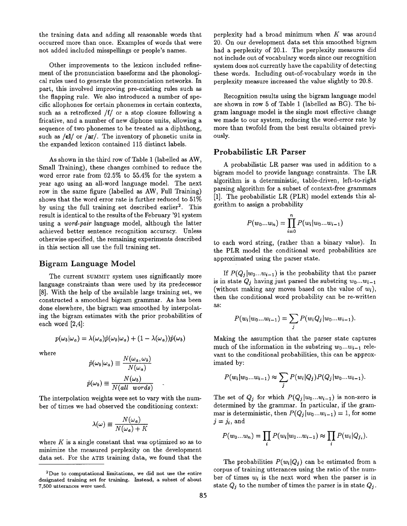the training data and adding all reasonable words that occurred more than once. Examples of words that were not added included misspellings or people's names.

Other improvements to the lexicon included refinement of the pronunciation baseforms and the phonological rules used to generate the pronunciation networks. In part, this involved improving pre-existing rules such as the flapping rule. We also introduced a number of specific allophones for certain phonemes in certain contexts, such as a retroflexed /f/ or a stop closure following a fricative, and a number of new diphone units, allowing a sequence of two phonemes to be treated as a diphthong, such as  $\ell$  el/ or  $\ell$ ar/. The inventory of phonetic units in the expanded lexicon contained 115 distinct labels.

As shown in the third row of Table 1 (labelled as AW, Small Training), these changes combined to reduce the word error rate from 62.5% to 55.4% for the system a year ago using an all-word language model. The next row in the same figure (labelled as AW, Full Training) shows that the word error rate is further reduced to 51% by using the full training set described earlier<sup>2</sup>. This result is identical to the results of the February '91 system using a *word-pair* language model, although the latter achieved better sentence recognition accuracy. Unless otherwise specified, the remaining experiments described in this section all use the full training set.

## **Bigram Language Model**

The current SUMMIT system uses significantly more language constraints than were used by its predecessor [8]. With the help of the available large training set, we constructed a smoothed bigram grammar. As has been done elsewhere, the bigram was smoothed by interpolating the bigram estimates with the prior probabilities of each word [2,4]:

$$
p(\omega_b|\omega_a) = \lambda(\omega_a)\hat{p}(\omega_b|\omega_a) + (1 - \lambda(\omega_a))\hat{p}(\omega_b)
$$

where

$$
\hat{p}(\omega_b|\omega_a) \equiv \frac{N(\omega_a, \omega_b)}{N(\omega_a)}
$$

$$
\hat{p}(\omega_b) \equiv \frac{N(\omega_b)}{N(all \ words)}
$$

The interpolation weights were set to vary with the number of times we had observed the conditioning context:

$$
\lambda(\omega) \equiv \frac{N(\omega_a)}{N(\omega_a) + K}
$$

where  $K$  is a single constant that was optimized so as to minimize the measured perplexity on the development data set. For the ATIS training data, we found that the

perplexity had a broad minimum when  $K$  was around 20. On our development data set this smoothed bigram had a perplexity of 20.1. The perplexity measures did not include out of vocabulary words since our recognition system does not currently have the capability of detecting these words. Including out-of-vocabulary words in the perplexity measure increased the value slightly to 20.8.

Recognition results using the bigram language model are shown in row 5 of Table 1 (labelled as BG). The bigram language model is the single most effective change we made to our system, reducing the word-error rate by more than twofold from the best results obtained previously.

#### Probabilistic LR Parser

A probabilistic LR parser was used in addition to a bigram model to provide language constraints. The LR algorithm is a deterministic, table-driven, left-to-right parsing algorithm for a subset of context-free grammars [1]. The probabilistic LR (PLR) model extends this algorithm to assign a probability

$$
P(w_0...w_n) = \prod_{i=0}^n P(w_i|w_0...w_{i-1})
$$

to each word string, (rather than a binary value). In the PLR model the conditional word probabilities are approximated using the parser state.

If  $P(Q_i|w_0...w_{i-1})$  is the probability that the parser is in state  $Q_i$  having just parsed the substring  $w_0...w_{i-1}$ (without making any moves based on the value of  $w_i$ ), then the conditional word probability can be re-written as:

$$
P(w_i|w_0...w_{i-1}) = \sum_j P(w_iQ_j|w_0...w_{i-1}).
$$

Making the assumption that the parser state captures much of the information in the substring  $w_0...w_{i-1}$  relevant to the conditional probabilities, this can be approximated by:

$$
P(w_i|w_0...w_{i-1}) \approx \sum_j P(w_i|Q_j) P(Q_j|w_0...w_{i-1}).
$$

The set of  $Q_j$  for which  $P(Q_j|w_0...w_{i-1})$  is non-zero is determined by the grammar. In particular, if the grammar is deterministic, then  $P(Q_j | w_0...w_{i-1}) = 1$ , for some  $j = j_i$ , and

$$
P(w_0...w_n) = \prod_i P(w_i|w_0...w_{i-1}) \approx \prod_i P(w_i|Q_{j_i}).
$$

The probabilities  $P(w_i|Q_i)$  can be estimated from a corpus of training utterances using the ratio of the number of times *wi* is the next word when the parser is in state  $Q_j$  to the number of times the parser is in state  $Q_j$ .

<sup>2</sup>Due to computational limitations, we did not use the entire designated training set for training. Instead, a subset of about 7,500 utterances were used.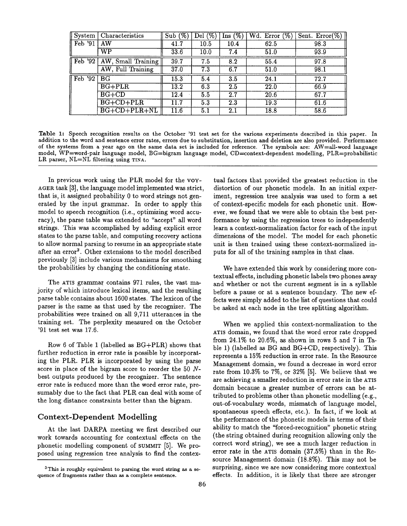| System                               | Characteristics        | Sub(%)            | $(\% )$<br>De <sub>l</sub> | $\overline{\text{Ins}(\%)}$ | $Wd.$ Error $(\%)$ | Sent. $Error(\%)$ |
|--------------------------------------|------------------------|-------------------|----------------------------|-----------------------------|--------------------|-------------------|
| Feb '91                              | AW                     | 41.7              | 10.5                       | 10.4                        | 62.5               | 98.3              |
|                                      | $\overline{\text{WP}}$ | 33.6              | 10.0                       | 7.4                         | 51.0               | 93.9              |
| $\sqrt{\frac{1}{1}}$ Feb $\sqrt{32}$ | AW, Small Training     | 39.7              | 7.5                        | 8.2                         | 55.4               | 97.8              |
|                                      | AW, Full Training      | 37.0              | 7.3                        | 6.7                         | 51.0               | 98.1              |
| $\vert$ Feb '92                      | BG                     | 15.3              | 5.4                        | 3.5                         | 24.1               | 72.7              |
|                                      | $BG + PLR$             | $\overline{13.2}$ | 6.3                        | 2.5                         | 22.0               | 66.9              |
|                                      | $BG+CD$                | 12.4              | 5.5                        | 2.7                         | 20.6               | 67.7              |
|                                      | $BG+CD+PLR$            | 11.7              | 5.3                        | 2.3                         | 19.3               | 61.6              |
|                                      | $BG + CD + PLR + NL$   | 11.6              | 5.1                        | 2.1                         | 18.8               | 58.6              |

Table 1: Speech recognition results on the October '91 test set for the various experiments described in this paper. In addition to the word and sentence error rates, errors due to substitution, insertion and deletion are also provided. Performance of the systems from a year ago on the same data set is included for reference. The symbols are: AW=all-word language model, WP=word-pair language model, BG=bigram language model, CD=context-dependent modelling, PLR=probabilistic LR parser, NL=NL filtering using TINA.

In previous work using the PLR model for the voyaGER task [3], the language model implemented was strict, that is, it assigned probability 0 to word strings not generated by the input grammar. In order to apply this model to speech recognition (i.e., optimizing word accuracy), the parse table was extended to "accept" all word strings. This was accomplished by adding explicit error states to the parse table, and computing recovery actions to allow normal parsing to resume in an appropriate state after an error<sup>3</sup>. Other extensions to the model described previously [3] include various mechanisms for smoothing the probabilities by changing the conditioning state.

The ATIS grammar contains 971 rules, the vast majority of which introduce lexical items, and the resulting parse table contains about 1600 states. The lexicon of the parser is the same as that used by the recognizer. The probabilities were trained on all 9,711 utterances in the training set. The perplexity measured on the October '91 test set was 17.6.

Row 6 of Table 1 (labelled as BG+PLR) shows that further reduction in error rate is possible by incorporating the PLR. PLR is incorporated by using the parse score in place of the bigram score to reorder the 50 Nbest outputs produced by the recognizer. The sentence error rate is reduced more than the word error rate, presumably due to the fact that PLR can deal with some of the long distance constraints better than the bigram.

#### Context-Dependent **Modelling**

At the last DARPA meeting we first described our work towards accounting for contextual effects on the phonetic modelling component of SUMMIT [5]. We proposed using regression tree analysis to find the contex-

tual factors that provided the greatest reduction in the distortion of our phonetic models. In an initial experiment, regression tree analysis was used to form a set of context-specific models for each phonetic unit. However, we found that we were able to obtain the best performance by using the regression trees to independently learn a context-normalization factor for each of the input dimensions of the model. The model for each phonetic unit is then trained using these context-normalized inputs for all of the training samples in that class.

We have extended this work by considering more contextual effects, including phonetic labels two phones away and whether or not the current segment is in a syllable before a pause or at a sentence boundary. The new effects were simply added to the list of questions that could be asked at each node in the tree splitting algorithm.

When we applied this context-normalization to the ATIS domain, we found that the word error rate dropped from 24.1% to 20.6%, as shown in rows 5 and 7 in Table 1) (labelled as BG and BG+CD, respectively). This represents a 15% reduction in error rate. In the Resource Management domain, we found a decrease in word error rate from 10.3% to 7%, or 32% [5]. We believe that we are achieving a smaller reduction in error rate in the ATIS domain because a greater number of errors can be attributed to problems other than phonetic modelling (e.g., out-of-vocabulary words, mismatch of language model, spontaneous speech effects, etc.). In fact, if we look at the performance of the phonetic models in terms of their ability to match the "forced-recognition" phonetic string (the string obtained during recognition allowing only the correct word string), we see a much larger reduction in error rate in the ATIS domain (37.5%) than in the Resource Management domain (18.8%). This may not be surprising, since we are now considering more contextual effects. In addition, it is likely that there are stronger

 $3$ This is roughly equivalent to parsing the word string as a sequence of fragments rather than as a complete sentence.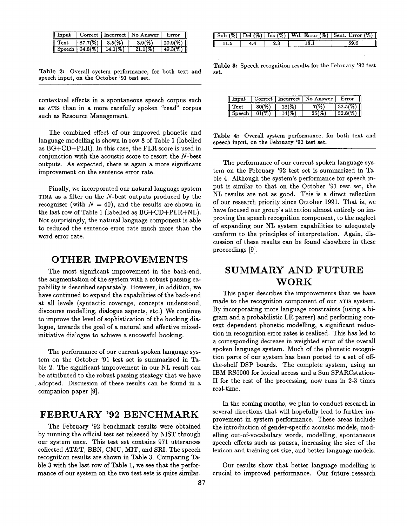| Input         | Correct     | $Incorrect \;  $ | No Answer | Error       |
|---------------|-------------|------------------|-----------|-------------|
| Fext          | 87.7(%)     |                  | 3.91      | $20.9(y_0)$ |
| <b>Speech</b> | $64.8(\% )$ |                  |           |             |

Table 2: Overall system performance, for both text and speech input, on the October '91 test set.

contextual effects in a spontaneous speech corpus such as ATIS than in a more carefully spoken "read" corpus such as Resource Management.

The combined effect of our improved phonetic and language modelling is shown in row 8 of Table 1 (labelled as BG+CD+PLR). In this case, the PLR score is used in conjunction with the acoustic score to resort the N-best outputs. As expected, there is again a more significant improvement on the sentence error rate.

Finally, we incorporated our natural language system TINA as a filter on the N-best outputs produced by the recognizer (with  $N = 40$ ), and the results are shown in the last row of Table 1 (labelled as BG+CD+PLR+NL). Not surprisingly, the natural language component is able to reduced the sentence error rate much more than the word error rate.

## **OTHER IMPROVEMENTS**

The most significant improvement in the back-end, the augmentation of the system with a robust parsing capability is described separately. However, in addition, we have continued to expand the capabilities of the back-end at all levels (syntactic coverage, concepts understood, discourse modelling, dialogue aspects, etc.) We continue to improve the level of sophistication of the booking dialogue, towards the goal of a natural and effective mixedinitiative dialogue to achieve a successful booking.

The performance of our current spoken language system on the October '91 test set is summarized in Table 2. The significant improvement in our NL result can be attributed to the robust parsing strategy that we have adopted. Discussion of these results can be found in a companion paper [9].

# **FEBRUARY '92 BENCHMARK**

The February '92 benchmark results were obtained by running the official test set released by NIST through our system once. This test set contains 971 utterances collected AT&T, BBN, CMU, MIT, and SRI. The speech recognition results are shown in Table 3. Comparing Table 3 with the last row of Table 1, we see that the performance of our system on the two test sets is quite similar.

| ' יער<br>Jel | $\ln s$ $(\%)$ . | Error $(\%)$<br>Wd. | ν7.<br>Sent. |
|--------------|------------------|---------------------|--------------|
|              |                  |                     |              |

Table 3: Speech recognition results for the February '92 test set.

| nout  | Correct | ${\rm incorrect}$ | Answer | .mor |
|-------|---------|-------------------|--------|------|
| ext   |         |                   |        |      |
| peech |         |                   |        |      |

Table 4: Overall system performance, for both text and speech input, on the February '92 test set.

The performance of our current spoken language system on the February '92 test set is summarized in Table 4. Although the system's performance for speech input is similar to that on the October '91 test set, the NL results are not as good. This is a direct reflection of our research priority since October 1991. That is, we have focused our group's attention almost entirely on improving the speech recognition component, to the neglect of expanding our NL system capabilities to adequately conform to the principles of interpretation. Again, discussion of these results can be found elsewhere in these proceedings [9].

# **SUMMARY AND FUTURE WORK**

This paper describes the improvements that we have made to the recognition component of our ATIS system. By incorporating more language constraints (using a bigram and a probabilistic LR parser) and performing context dependent phonetic modelling, a significant reduction in recognition error rates is realized. This has led to a corresponding decrease in weighted error of the overall spoken language system. Much of the phonetic recognition parts of our system has been ported to a set of offthe-shelf DSP boards. The complete system, using an IBM RS6000 for lexical access and a Sun SPARCstation-II for the rest of the processing, now runs in 2-3 times real-time.

In the coming months, we plan to conduct research in several directions that will hopefully lead to further im-Provement in system performance. These areas include the introduction of gender-specific acoustic models, modelling out-of-vocabulary words, modelling, spontaneous speech effects such as pauses, increasing the size of the lexicon and training set size, and better language models.

Our results show that better language modelling is crucial to improved performance. Our future research